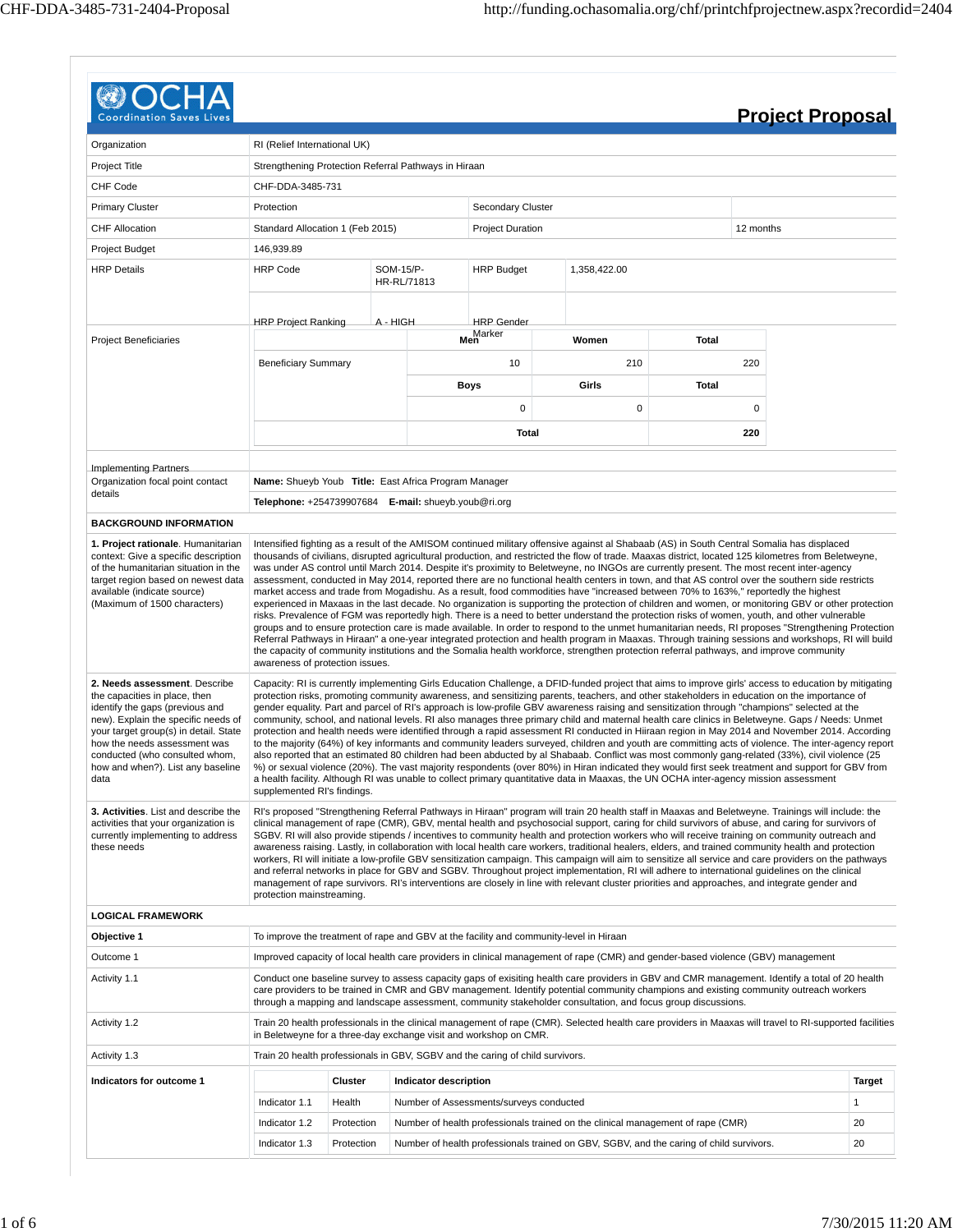| <b>Coordination Saves</b>                                                                                                                                                                                                                                                                                                                                                                                                                                                                                                                                                                                                               |                                                          |                                                      |                          |                                                                                        |                                                                                                                                                                                                                                                                                                                                                                                                                                                                                                                                                                                                                                                                                                                                                                                                                                                                                                                                                                                                                                                                                                                                                                                                                                                                                                                                                                   |                                                                                                                                           |           | <b>Project Proposal</b> |  |  |  |  |  |  |
|-----------------------------------------------------------------------------------------------------------------------------------------------------------------------------------------------------------------------------------------------------------------------------------------------------------------------------------------------------------------------------------------------------------------------------------------------------------------------------------------------------------------------------------------------------------------------------------------------------------------------------------------|----------------------------------------------------------|------------------------------------------------------|--------------------------|----------------------------------------------------------------------------------------|-------------------------------------------------------------------------------------------------------------------------------------------------------------------------------------------------------------------------------------------------------------------------------------------------------------------------------------------------------------------------------------------------------------------------------------------------------------------------------------------------------------------------------------------------------------------------------------------------------------------------------------------------------------------------------------------------------------------------------------------------------------------------------------------------------------------------------------------------------------------------------------------------------------------------------------------------------------------------------------------------------------------------------------------------------------------------------------------------------------------------------------------------------------------------------------------------------------------------------------------------------------------------------------------------------------------------------------------------------------------|-------------------------------------------------------------------------------------------------------------------------------------------|-----------|-------------------------|--|--|--|--|--|--|
| Organization                                                                                                                                                                                                                                                                                                                                                                                                                                                                                                                                                                                                                            | RI (Relief International UK)                             |                                                      |                          |                                                                                        |                                                                                                                                                                                                                                                                                                                                                                                                                                                                                                                                                                                                                                                                                                                                                                                                                                                                                                                                                                                                                                                                                                                                                                                                                                                                                                                                                                   |                                                                                                                                           |           |                         |  |  |  |  |  |  |
| Project Title                                                                                                                                                                                                                                                                                                                                                                                                                                                                                                                                                                                                                           |                                                          | Strengthening Protection Referral Pathways in Hiraan |                          |                                                                                        |                                                                                                                                                                                                                                                                                                                                                                                                                                                                                                                                                                                                                                                                                                                                                                                                                                                                                                                                                                                                                                                                                                                                                                                                                                                                                                                                                                   |                                                                                                                                           |           |                         |  |  |  |  |  |  |
| <b>CHF Code</b>                                                                                                                                                                                                                                                                                                                                                                                                                                                                                                                                                                                                                         | CHF-DDA-3485-731                                         |                                                      |                          |                                                                                        |                                                                                                                                                                                                                                                                                                                                                                                                                                                                                                                                                                                                                                                                                                                                                                                                                                                                                                                                                                                                                                                                                                                                                                                                                                                                                                                                                                   |                                                                                                                                           |           |                         |  |  |  |  |  |  |
| <b>Primary Cluster</b>                                                                                                                                                                                                                                                                                                                                                                                                                                                                                                                                                                                                                  | Protection                                               |                                                      |                          | <b>Secondary Cluster</b>                                                               |                                                                                                                                                                                                                                                                                                                                                                                                                                                                                                                                                                                                                                                                                                                                                                                                                                                                                                                                                                                                                                                                                                                                                                                                                                                                                                                                                                   |                                                                                                                                           |           |                         |  |  |  |  |  |  |
| <b>CHF Allocation</b>                                                                                                                                                                                                                                                                                                                                                                                                                                                                                                                                                                                                                   | Standard Allocation 1 (Feb 2015)                         |                                                      |                          | <b>Project Duration</b>                                                                |                                                                                                                                                                                                                                                                                                                                                                                                                                                                                                                                                                                                                                                                                                                                                                                                                                                                                                                                                                                                                                                                                                                                                                                                                                                                                                                                                                   |                                                                                                                                           | 12 months |                         |  |  |  |  |  |  |
| Project Budget                                                                                                                                                                                                                                                                                                                                                                                                                                                                                                                                                                                                                          | 146,939.89                                               |                                                      |                          |                                                                                        |                                                                                                                                                                                                                                                                                                                                                                                                                                                                                                                                                                                                                                                                                                                                                                                                                                                                                                                                                                                                                                                                                                                                                                                                                                                                                                                                                                   |                                                                                                                                           |           |                         |  |  |  |  |  |  |
| <b>HRP Details</b>                                                                                                                                                                                                                                                                                                                                                                                                                                                                                                                                                                                                                      | <b>HRP Code</b>                                          |                                                      | SOM-15/P-<br>HR-RL/71813 | <b>HRP Budget</b>                                                                      | 1,358,422.00                                                                                                                                                                                                                                                                                                                                                                                                                                                                                                                                                                                                                                                                                                                                                                                                                                                                                                                                                                                                                                                                                                                                                                                                                                                                                                                                                      |                                                                                                                                           |           |                         |  |  |  |  |  |  |
|                                                                                                                                                                                                                                                                                                                                                                                                                                                                                                                                                                                                                                         | <b>HRP Project Ranking</b>                               |                                                      | A - HIGH                 | <b>HRP</b> Gender                                                                      |                                                                                                                                                                                                                                                                                                                                                                                                                                                                                                                                                                                                                                                                                                                                                                                                                                                                                                                                                                                                                                                                                                                                                                                                                                                                                                                                                                   |                                                                                                                                           |           |                         |  |  |  |  |  |  |
| <b>Project Beneficiaries</b>                                                                                                                                                                                                                                                                                                                                                                                                                                                                                                                                                                                                            |                                                          |                                                      |                          | Marker<br>Men                                                                          | Women                                                                                                                                                                                                                                                                                                                                                                                                                                                                                                                                                                                                                                                                                                                                                                                                                                                                                                                                                                                                                                                                                                                                                                                                                                                                                                                                                             | Total                                                                                                                                     |           |                         |  |  |  |  |  |  |
|                                                                                                                                                                                                                                                                                                                                                                                                                                                                                                                                                                                                                                         | <b>Beneficiary Summary</b>                               |                                                      |                          | 10                                                                                     | 210                                                                                                                                                                                                                                                                                                                                                                                                                                                                                                                                                                                                                                                                                                                                                                                                                                                                                                                                                                                                                                                                                                                                                                                                                                                                                                                                                               |                                                                                                                                           | 220       |                         |  |  |  |  |  |  |
|                                                                                                                                                                                                                                                                                                                                                                                                                                                                                                                                                                                                                                         |                                                          |                                                      |                          | Boys                                                                                   | Girls                                                                                                                                                                                                                                                                                                                                                                                                                                                                                                                                                                                                                                                                                                                                                                                                                                                                                                                                                                                                                                                                                                                                                                                                                                                                                                                                                             | Total                                                                                                                                     |           |                         |  |  |  |  |  |  |
|                                                                                                                                                                                                                                                                                                                                                                                                                                                                                                                                                                                                                                         |                                                          |                                                      |                          | $\mathbf 0$                                                                            | 0                                                                                                                                                                                                                                                                                                                                                                                                                                                                                                                                                                                                                                                                                                                                                                                                                                                                                                                                                                                                                                                                                                                                                                                                                                                                                                                                                                 |                                                                                                                                           | 0         |                         |  |  |  |  |  |  |
|                                                                                                                                                                                                                                                                                                                                                                                                                                                                                                                                                                                                                                         |                                                          |                                                      |                          | Total                                                                                  |                                                                                                                                                                                                                                                                                                                                                                                                                                                                                                                                                                                                                                                                                                                                                                                                                                                                                                                                                                                                                                                                                                                                                                                                                                                                                                                                                                   |                                                                                                                                           | 220       |                         |  |  |  |  |  |  |
| <b>Implementing Partners</b>                                                                                                                                                                                                                                                                                                                                                                                                                                                                                                                                                                                                            |                                                          |                                                      |                          |                                                                                        |                                                                                                                                                                                                                                                                                                                                                                                                                                                                                                                                                                                                                                                                                                                                                                                                                                                                                                                                                                                                                                                                                                                                                                                                                                                                                                                                                                   |                                                                                                                                           |           |                         |  |  |  |  |  |  |
| Organization focal point contact                                                                                                                                                                                                                                                                                                                                                                                                                                                                                                                                                                                                        | Name: Shueyb Youb Title: East Africa Program Manager     |                                                      |                          |                                                                                        |                                                                                                                                                                                                                                                                                                                                                                                                                                                                                                                                                                                                                                                                                                                                                                                                                                                                                                                                                                                                                                                                                                                                                                                                                                                                                                                                                                   |                                                                                                                                           |           |                         |  |  |  |  |  |  |
| details                                                                                                                                                                                                                                                                                                                                                                                                                                                                                                                                                                                                                                 | Telephone: +254739907684 E-mail: shueyb.youb@ri.org      |                                                      |                          |                                                                                        |                                                                                                                                                                                                                                                                                                                                                                                                                                                                                                                                                                                                                                                                                                                                                                                                                                                                                                                                                                                                                                                                                                                                                                                                                                                                                                                                                                   |                                                                                                                                           |           |                         |  |  |  |  |  |  |
| <b>BACKGROUND INFORMATION</b>                                                                                                                                                                                                                                                                                                                                                                                                                                                                                                                                                                                                           |                                                          |                                                      |                          |                                                                                        |                                                                                                                                                                                                                                                                                                                                                                                                                                                                                                                                                                                                                                                                                                                                                                                                                                                                                                                                                                                                                                                                                                                                                                                                                                                                                                                                                                   |                                                                                                                                           |           |                         |  |  |  |  |  |  |
|                                                                                                                                                                                                                                                                                                                                                                                                                                                                                                                                                                                                                                         |                                                          |                                                      |                          |                                                                                        | assessment, conducted in May 2014, reported there are no functional health centers in town, and that AS control over the southern side restricts<br>market access and trade from Mogadishu. As a result, food commodities have "increased between 70% to 163%," reportedly the highest<br>experienced in Maxaas in the last decade. No organization is supporting the protection of children and women, or monitoring GBV or other protection<br>risks. Prevalence of FGM was reportedly high. There is a need to better understand the protection risks of women, youth, and other vulnerable                                                                                                                                                                                                                                                                                                                                                                                                                                                                                                                                                                                                                                                                                                                                                                    | was under AS control until March 2014. Despite it's proximity to Beletweyne, no INGOs are currently present. The most recent inter-agency |           |                         |  |  |  |  |  |  |
|                                                                                                                                                                                                                                                                                                                                                                                                                                                                                                                                                                                                                                         | awareness of protection issues.                          |                                                      |                          |                                                                                        | groups and to ensure protection care is made available. In order to respond to the unmet humanitarian needs, RI proposes "Strengthening Protection<br>Referral Pathways in Hiraan" a one-year integrated protection and health program in Maaxas. Through training sessions and workshops, RI will build<br>the capacity of community institutions and the Somalia health workforce, strengthen protection referral pathways, and improve community                                                                                                                                                                                                                                                                                                                                                                                                                                                                                                                                                                                                                                                                                                                                                                                                                                                                                                               |                                                                                                                                           |           |                         |  |  |  |  |  |  |
|                                                                                                                                                                                                                                                                                                                                                                                                                                                                                                                                                                                                                                         |                                                          |                                                      |                          |                                                                                        | Capacity: RI is currently implementing Girls Education Challenge, a DFID-funded project that aims to improve girls' access to education by mitigating<br>protection risks, promoting community awareness, and sensitizing parents, teachers, and other stakeholders in education on the importance of<br>gender equality. Part and parcel of RI's approach is low-profile GBV awareness raising and sensitization through "champions" selected at the<br>community, school, and national levels. RI also manages three primary child and maternal health care clinics in Beletweyne. Gaps / Needs: Unmet<br>protection and health needs were identified through a rapid assessment RI conducted in Hiiraan region in May 2014 and November 2014. According<br>to the majority (64%) of key informants and community leaders surveyed, children and youth are committing acts of violence. The inter-agency report<br>also reported that an estimated 80 children had been abducted by al Shabaab. Conflict was most commonly gang-related (33%), civil violence (25<br>%) or sexual violence (20%). The vast majority respondents (over 80%) in Hiran indicated they would first seek treatment and support for GBV from<br>a health facility. Although RI was unable to collect primary quantitative data in Maaxas, the UN OCHA inter-agency mission assessment |                                                                                                                                           |           |                         |  |  |  |  |  |  |
|                                                                                                                                                                                                                                                                                                                                                                                                                                                                                                                                                                                                                                         | supplemented RI's findings.<br>protection mainstreaming. |                                                      |                          |                                                                                        | RI's proposed "Strengthening Referral Pathways in Hiraan" program will train 20 health staff in Maaxas and Beletweyne. Trainings will include: the<br>clinical management of rape (CMR), GBV, mental health and psychosocial support, caring for child survivors of abuse, and caring for survivors of<br>SGBV. RI will also provide stipends / incentives to community health and protection workers who will receive training on community outreach and<br>awareness raising. Lastly, in collaboration with local health care workers, traditional healers, elders, and trained community health and protection<br>workers, RI will initiate a low-profile GBV sensitization campaign. This campaign will aim to sensitize all service and care providers on the pathways<br>and referral networks in place for GBV and SGBV. Throughout project implementation, RI will adhere to international guidelines on the clinical<br>management of rape survivors. RI's interventions are closely in line with relevant cluster priorities and approaches, and integrate gender and                                                                                                                                                                                                                                                                                   |                                                                                                                                           |           |                         |  |  |  |  |  |  |
|                                                                                                                                                                                                                                                                                                                                                                                                                                                                                                                                                                                                                                         |                                                          |                                                      |                          |                                                                                        |                                                                                                                                                                                                                                                                                                                                                                                                                                                                                                                                                                                                                                                                                                                                                                                                                                                                                                                                                                                                                                                                                                                                                                                                                                                                                                                                                                   |                                                                                                                                           |           |                         |  |  |  |  |  |  |
|                                                                                                                                                                                                                                                                                                                                                                                                                                                                                                                                                                                                                                         |                                                          |                                                      |                          | To improve the treatment of rape and GBV at the facility and community-level in Hiraan |                                                                                                                                                                                                                                                                                                                                                                                                                                                                                                                                                                                                                                                                                                                                                                                                                                                                                                                                                                                                                                                                                                                                                                                                                                                                                                                                                                   |                                                                                                                                           |           |                         |  |  |  |  |  |  |
|                                                                                                                                                                                                                                                                                                                                                                                                                                                                                                                                                                                                                                         |                                                          |                                                      |                          |                                                                                        | Improved capacity of local health care providers in clinical management of rape (CMR) and gender-based violence (GBV) management                                                                                                                                                                                                                                                                                                                                                                                                                                                                                                                                                                                                                                                                                                                                                                                                                                                                                                                                                                                                                                                                                                                                                                                                                                  |                                                                                                                                           |           |                         |  |  |  |  |  |  |
|                                                                                                                                                                                                                                                                                                                                                                                                                                                                                                                                                                                                                                         |                                                          |                                                      |                          |                                                                                        | Conduct one baseline survey to assess capacity gaps of exisiting health care providers in GBV and CMR management. Identify a total of 20 health<br>care providers to be trained in CMR and GBV management. Identify potential community champions and existing community outreach workers<br>through a mapping and landscape assessment, community stakeholder consultation, and focus group discussions.                                                                                                                                                                                                                                                                                                                                                                                                                                                                                                                                                                                                                                                                                                                                                                                                                                                                                                                                                         |                                                                                                                                           |           |                         |  |  |  |  |  |  |
|                                                                                                                                                                                                                                                                                                                                                                                                                                                                                                                                                                                                                                         |                                                          |                                                      |                          | in Beletweyne for a three-day exchange visit and workshop on CMR.                      | Train 20 health professionals in the clinical management of rape (CMR). Selected health care providers in Maaxas will travel to RI-supported facilities                                                                                                                                                                                                                                                                                                                                                                                                                                                                                                                                                                                                                                                                                                                                                                                                                                                                                                                                                                                                                                                                                                                                                                                                           |                                                                                                                                           |           |                         |  |  |  |  |  |  |
|                                                                                                                                                                                                                                                                                                                                                                                                                                                                                                                                                                                                                                         |                                                          |                                                      |                          | Train 20 health professionals in GBV, SGBV and the caring of child survivors.          |                                                                                                                                                                                                                                                                                                                                                                                                                                                                                                                                                                                                                                                                                                                                                                                                                                                                                                                                                                                                                                                                                                                                                                                                                                                                                                                                                                   |                                                                                                                                           |           |                         |  |  |  |  |  |  |
|                                                                                                                                                                                                                                                                                                                                                                                                                                                                                                                                                                                                                                         |                                                          | Cluster                                              | Indicator description    |                                                                                        |                                                                                                                                                                                                                                                                                                                                                                                                                                                                                                                                                                                                                                                                                                                                                                                                                                                                                                                                                                                                                                                                                                                                                                                                                                                                                                                                                                   |                                                                                                                                           |           | <b>Target</b>           |  |  |  |  |  |  |
|                                                                                                                                                                                                                                                                                                                                                                                                                                                                                                                                                                                                                                         | Indicator 1.1                                            | Health                                               |                          | Number of Assessments/surveys conducted                                                |                                                                                                                                                                                                                                                                                                                                                                                                                                                                                                                                                                                                                                                                                                                                                                                                                                                                                                                                                                                                                                                                                                                                                                                                                                                                                                                                                                   |                                                                                                                                           |           | 1                       |  |  |  |  |  |  |
| available (indicate source)<br>(Maximum of 1500 characters)<br>2. Needs assessment. Describe<br>the capacities in place, then<br>identify the gaps (previous and<br>new). Explain the specific needs of<br>your target group(s) in detail. State<br>how the needs assessment was<br>conducted (who consulted whom,<br>how and when?). List any baseline<br>data<br>3. Activities. List and describe the<br>activities that your organization is<br>currently implementing to address<br>these needs<br><b>LOGICAL FRAMEWORK</b><br>Objective 1<br>Outcome 1<br>Activity 1.1<br>Activity 1.2<br>Activity 1.3<br>Indicators for outcome 1 | Indicator 1.2                                            | Protection                                           |                          |                                                                                        | Number of health professionals trained on the clinical management of rape (CMR)                                                                                                                                                                                                                                                                                                                                                                                                                                                                                                                                                                                                                                                                                                                                                                                                                                                                                                                                                                                                                                                                                                                                                                                                                                                                                   |                                                                                                                                           |           | 20                      |  |  |  |  |  |  |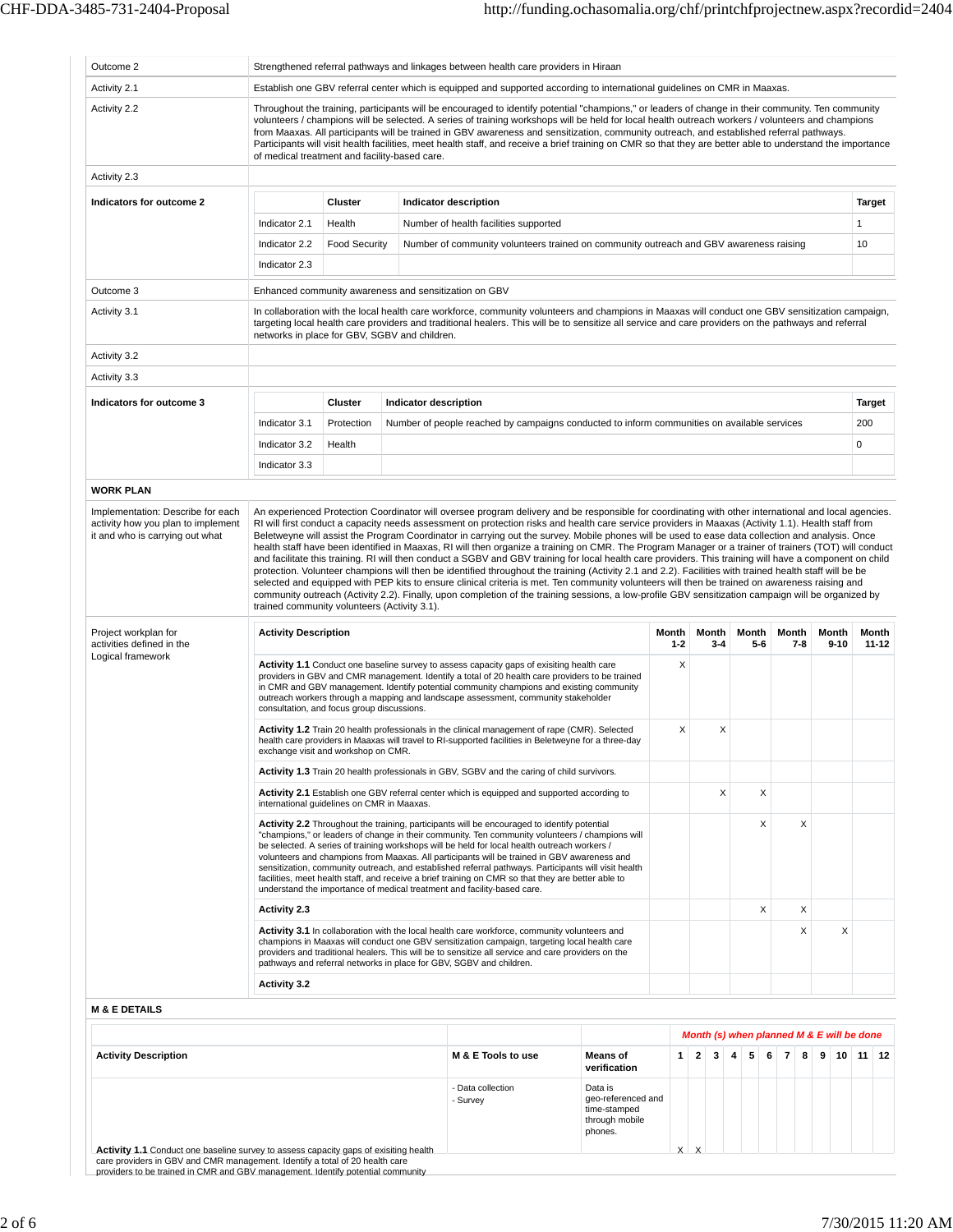| Outcome 2                                                                                                                                                                                                                                                                                                                                                                                                                                                                                                                                                                                                                                                                                                                                                                                                                                                                                                                                                            |                                               |                      |  | Strengthened referral pathways and linkages between health care providers in Hiraan                                                                                                                                                                                                                                                                                                                                                                                                                                                                                                                                |                                                                            |                  |                   |        |                                                                                                                                                                                                                                                                                                                                                                                                                                                                                                                                                                                                                                                                                                                                                                                                                                                                                                                             |  |                          |               |                    |
|----------------------------------------------------------------------------------------------------------------------------------------------------------------------------------------------------------------------------------------------------------------------------------------------------------------------------------------------------------------------------------------------------------------------------------------------------------------------------------------------------------------------------------------------------------------------------------------------------------------------------------------------------------------------------------------------------------------------------------------------------------------------------------------------------------------------------------------------------------------------------------------------------------------------------------------------------------------------|-----------------------------------------------|----------------------|--|--------------------------------------------------------------------------------------------------------------------------------------------------------------------------------------------------------------------------------------------------------------------------------------------------------------------------------------------------------------------------------------------------------------------------------------------------------------------------------------------------------------------------------------------------------------------------------------------------------------------|----------------------------------------------------------------------------|------------------|-------------------|--------|-----------------------------------------------------------------------------------------------------------------------------------------------------------------------------------------------------------------------------------------------------------------------------------------------------------------------------------------------------------------------------------------------------------------------------------------------------------------------------------------------------------------------------------------------------------------------------------------------------------------------------------------------------------------------------------------------------------------------------------------------------------------------------------------------------------------------------------------------------------------------------------------------------------------------------|--|--------------------------|---------------|--------------------|
| Activity 2.1                                                                                                                                                                                                                                                                                                                                                                                                                                                                                                                                                                                                                                                                                                                                                                                                                                                                                                                                                         |                                               |                      |  | Establish one GBV referral center which is equipped and supported according to international guidelines on CMR in Maaxas.                                                                                                                                                                                                                                                                                                                                                                                                                                                                                          |                                                                            |                  |                   |        |                                                                                                                                                                                                                                                                                                                                                                                                                                                                                                                                                                                                                                                                                                                                                                                                                                                                                                                             |  |                          |               |                    |
| Activity 2.2                                                                                                                                                                                                                                                                                                                                                                                                                                                                                                                                                                                                                                                                                                                                                                                                                                                                                                                                                         | of medical treatment and facility-based care. |                      |  | Throughout the training, participants will be encouraged to identify potential "champions," or leaders of change in their community. Ten community<br>volunteers / champions will be selected. A series of training workshops will be held for local health outreach workers / volunteers and champions<br>from Maaxas. All participants will be trained in GBV awareness and sensitization, community outreach, and established referral pathways.<br>Participants will visit health facilities, meet health staff, and receive a brief training on CMR so that they are better able to understand the importance |                                                                            |                  |                   |        |                                                                                                                                                                                                                                                                                                                                                                                                                                                                                                                                                                                                                                                                                                                                                                                                                                                                                                                             |  |                          |               |                    |
| Activity 2.3                                                                                                                                                                                                                                                                                                                                                                                                                                                                                                                                                                                                                                                                                                                                                                                                                                                                                                                                                         |                                               |                      |  |                                                                                                                                                                                                                                                                                                                                                                                                                                                                                                                                                                                                                    |                                                                            |                  |                   |        |                                                                                                                                                                                                                                                                                                                                                                                                                                                                                                                                                                                                                                                                                                                                                                                                                                                                                                                             |  |                          |               |                    |
| Indicators for outcome 2                                                                                                                                                                                                                                                                                                                                                                                                                                                                                                                                                                                                                                                                                                                                                                                                                                                                                                                                             |                                               | <b>Cluster</b>       |  | Indicator description                                                                                                                                                                                                                                                                                                                                                                                                                                                                                                                                                                                              |                                                                            |                  |                   |        |                                                                                                                                                                                                                                                                                                                                                                                                                                                                                                                                                                                                                                                                                                                                                                                                                                                                                                                             |  |                          | <b>Target</b> |                    |
|                                                                                                                                                                                                                                                                                                                                                                                                                                                                                                                                                                                                                                                                                                                                                                                                                                                                                                                                                                      | Indicator 2.1                                 | Health               |  | Number of health facilities supported                                                                                                                                                                                                                                                                                                                                                                                                                                                                                                                                                                              |                                                                            |                  |                   |        |                                                                                                                                                                                                                                                                                                                                                                                                                                                                                                                                                                                                                                                                                                                                                                                                                                                                                                                             |  |                          | 1             |                    |
|                                                                                                                                                                                                                                                                                                                                                                                                                                                                                                                                                                                                                                                                                                                                                                                                                                                                                                                                                                      | Indicator 2.2                                 | <b>Food Security</b> |  | Number of community volunteers trained on community outreach and GBV awareness raising                                                                                                                                                                                                                                                                                                                                                                                                                                                                                                                             |                                                                            |                  |                   |        |                                                                                                                                                                                                                                                                                                                                                                                                                                                                                                                                                                                                                                                                                                                                                                                                                                                                                                                             |  |                          | 10            |                    |
|                                                                                                                                                                                                                                                                                                                                                                                                                                                                                                                                                                                                                                                                                                                                                                                                                                                                                                                                                                      | Indicator 2.3                                 |                      |  |                                                                                                                                                                                                                                                                                                                                                                                                                                                                                                                                                                                                                    |                                                                            |                  |                   |        |                                                                                                                                                                                                                                                                                                                                                                                                                                                                                                                                                                                                                                                                                                                                                                                                                                                                                                                             |  |                          |               |                    |
| Outcome 3                                                                                                                                                                                                                                                                                                                                                                                                                                                                                                                                                                                                                                                                                                                                                                                                                                                                                                                                                            |                                               |                      |  | Enhanced community awareness and sensitization on GBV                                                                                                                                                                                                                                                                                                                                                                                                                                                                                                                                                              |                                                                            |                  |                   |        |                                                                                                                                                                                                                                                                                                                                                                                                                                                                                                                                                                                                                                                                                                                                                                                                                                                                                                                             |  |                          |               |                    |
| Activity 3.1                                                                                                                                                                                                                                                                                                                                                                                                                                                                                                                                                                                                                                                                                                                                                                                                                                                                                                                                                         | networks in place for GBV, SGBV and children. |                      |  | In collaboration with the local health care workforce, community volunteers and champions in Maaxas will conduct one GBV sensitization campaign,<br>targeting local health care providers and traditional healers. This will be to sensitize all service and care providers on the pathways and referral                                                                                                                                                                                                                                                                                                           |                                                                            |                  |                   |        |                                                                                                                                                                                                                                                                                                                                                                                                                                                                                                                                                                                                                                                                                                                                                                                                                                                                                                                             |  |                          |               |                    |
| Activity 3.2                                                                                                                                                                                                                                                                                                                                                                                                                                                                                                                                                                                                                                                                                                                                                                                                                                                                                                                                                         |                                               |                      |  |                                                                                                                                                                                                                                                                                                                                                                                                                                                                                                                                                                                                                    |                                                                            |                  |                   |        |                                                                                                                                                                                                                                                                                                                                                                                                                                                                                                                                                                                                                                                                                                                                                                                                                                                                                                                             |  |                          |               |                    |
| Activity 3.3                                                                                                                                                                                                                                                                                                                                                                                                                                                                                                                                                                                                                                                                                                                                                                                                                                                                                                                                                         |                                               |                      |  |                                                                                                                                                                                                                                                                                                                                                                                                                                                                                                                                                                                                                    |                                                                            |                  |                   |        |                                                                                                                                                                                                                                                                                                                                                                                                                                                                                                                                                                                                                                                                                                                                                                                                                                                                                                                             |  |                          |               |                    |
| Indicators for outcome 3                                                                                                                                                                                                                                                                                                                                                                                                                                                                                                                                                                                                                                                                                                                                                                                                                                                                                                                                             |                                               | <b>Cluster</b>       |  | Indicator description                                                                                                                                                                                                                                                                                                                                                                                                                                                                                                                                                                                              |                                                                            |                  |                   |        |                                                                                                                                                                                                                                                                                                                                                                                                                                                                                                                                                                                                                                                                                                                                                                                                                                                                                                                             |  |                          | <b>Target</b> |                    |
|                                                                                                                                                                                                                                                                                                                                                                                                                                                                                                                                                                                                                                                                                                                                                                                                                                                                                                                                                                      | Indicator 3.1                                 | Protection           |  | Number of people reached by campaigns conducted to inform communities on available services                                                                                                                                                                                                                                                                                                                                                                                                                                                                                                                        |                                                                            |                  |                   |        |                                                                                                                                                                                                                                                                                                                                                                                                                                                                                                                                                                                                                                                                                                                                                                                                                                                                                                                             |  |                          | 200           |                    |
|                                                                                                                                                                                                                                                                                                                                                                                                                                                                                                                                                                                                                                                                                                                                                                                                                                                                                                                                                                      | Indicator 3.2                                 | Health               |  |                                                                                                                                                                                                                                                                                                                                                                                                                                                                                                                                                                                                                    |                                                                            |                  |                   |        |                                                                                                                                                                                                                                                                                                                                                                                                                                                                                                                                                                                                                                                                                                                                                                                                                                                                                                                             |  |                          | 0             |                    |
|                                                                                                                                                                                                                                                                                                                                                                                                                                                                                                                                                                                                                                                                                                                                                                                                                                                                                                                                                                      | Indicator 3.3                                 |                      |  |                                                                                                                                                                                                                                                                                                                                                                                                                                                                                                                                                                                                                    |                                                                            |                  |                   |        |                                                                                                                                                                                                                                                                                                                                                                                                                                                                                                                                                                                                                                                                                                                                                                                                                                                                                                                             |  |                          |               |                    |
| <b>WORK PLAN</b>                                                                                                                                                                                                                                                                                                                                                                                                                                                                                                                                                                                                                                                                                                                                                                                                                                                                                                                                                     |                                               |                      |  |                                                                                                                                                                                                                                                                                                                                                                                                                                                                                                                                                                                                                    |                                                                            |                  |                   |        |                                                                                                                                                                                                                                                                                                                                                                                                                                                                                                                                                                                                                                                                                                                                                                                                                                                                                                                             |  |                          |               |                    |
|                                                                                                                                                                                                                                                                                                                                                                                                                                                                                                                                                                                                                                                                                                                                                                                                                                                                                                                                                                      | trained community volunteers (Activity 3.1).  |                      |  | protection. Volunteer champions will then be identified throughout the training (Activity 2.1 and 2.2). Facilities with trained health staff will be be<br>selected and equipped with PEP kits to ensure clinical criteria is met. Ten community volunteers will then be trained on awareness raising and<br>community outreach (Activity 2.2). Finally, upon completion of the training sessions, a low-profile GBV sensitization campaign will be organized by                                                                                                                                                   |                                                                            |                  |                   |        |                                                                                                                                                                                                                                                                                                                                                                                                                                                                                                                                                                                                                                                                                                                                                                                                                                                                                                                             |  |                          |               |                    |
| Project workplan for<br>activities defined in the                                                                                                                                                                                                                                                                                                                                                                                                                                                                                                                                                                                                                                                                                                                                                                                                                                                                                                                    | <b>Activity Description</b>                   |                      |  |                                                                                                                                                                                                                                                                                                                                                                                                                                                                                                                                                                                                                    |                                                                            | Month<br>$1 - 2$ | Month<br>$3 - 4$  | Month  |                                                                                                                                                                                                                                                                                                                                                                                                                                                                                                                                                                                                                                                                                                                                                                                                                                                                                                                             |  | $9 - 10$                 |               | Month<br>$11 - 12$ |
| Logical framework                                                                                                                                                                                                                                                                                                                                                                                                                                                                                                                                                                                                                                                                                                                                                                                                                                                                                                                                                    | consultation, and focus group discussions.    |                      |  | Activity 1.1 Conduct one baseline survey to assess capacity gaps of exisiting health care<br>providers in GBV and CMR management. Identify a total of 20 health care providers to be trained<br>in CMR and GBV management. Identify potential community champions and existing community<br>outreach workers through a mapping and landscape assessment, community stakeholder                                                                                                                                                                                                                                     |                                                                            | X                |                   |        |                                                                                                                                                                                                                                                                                                                                                                                                                                                                                                                                                                                                                                                                                                                                                                                                                                                                                                                             |  |                          |               |                    |
|                                                                                                                                                                                                                                                                                                                                                                                                                                                                                                                                                                                                                                                                                                                                                                                                                                                                                                                                                                      | exchange visit and workshop on CMR.           |                      |  | Activity 1.2 Train 20 health professionals in the clinical management of rape (CMR). Selected<br>health care providers in Maaxas will travel to RI-supported facilities in Beletweyne for a three-day                                                                                                                                                                                                                                                                                                                                                                                                              | X                                                                          | Х                |                   |        |                                                                                                                                                                                                                                                                                                                                                                                                                                                                                                                                                                                                                                                                                                                                                                                                                                                                                                                             |  |                          |               |                    |
|                                                                                                                                                                                                                                                                                                                                                                                                                                                                                                                                                                                                                                                                                                                                                                                                                                                                                                                                                                      |                                               |                      |  | Activity 1.3 Train 20 health professionals in GBV, SGBV and the caring of child survivors.                                                                                                                                                                                                                                                                                                                                                                                                                                                                                                                         |                                                                            |                  |                   |        |                                                                                                                                                                                                                                                                                                                                                                                                                                                                                                                                                                                                                                                                                                                                                                                                                                                                                                                             |  |                          |               |                    |
|                                                                                                                                                                                                                                                                                                                                                                                                                                                                                                                                                                                                                                                                                                                                                                                                                                                                                                                                                                      | international quidelines on CMR in Maaxas.    |                      |  | Activity 2.1 Establish one GBV referral center which is equipped and supported according to                                                                                                                                                                                                                                                                                                                                                                                                                                                                                                                        |                                                                            |                  | X                 |        |                                                                                                                                                                                                                                                                                                                                                                                                                                                                                                                                                                                                                                                                                                                                                                                                                                                                                                                             |  |                          |               |                    |
|                                                                                                                                                                                                                                                                                                                                                                                                                                                                                                                                                                                                                                                                                                                                                                                                                                                                                                                                                                      |                                               |                      |  | Activity 2.2 Throughout the training, participants will be encouraged to identify potential                                                                                                                                                                                                                                                                                                                                                                                                                                                                                                                        |                                                                            |                  |                   |        | An experienced Protection Coordinator will oversee program delivery and be responsible for coordinating with other international and local agencies.<br>RI will first conduct a capacity needs assessment on protection risks and health care service providers in Maaxas (Activity 1.1). Health staff from<br>Beletweyne will assist the Program Coordinator in carrying out the survey. Mobile phones will be used to ease data collection and analysis. Once<br>health staff have been identified in Maaxas, RI will then organize a training on CMR. The Program Manager or a trainer of trainers (TOT) will conduct<br>and facilitate this training. RI will then conduct a SGBV and GBV training for local health care providers. This training will have a component on child<br>Month<br>5-6<br>$7 - 8$<br>X<br>X<br>X<br>X<br>X<br>X<br>Month (s) when planned M & E will be done<br>6<br>$\overline{7}$<br>8<br>9 |  |                          |               |                    |
|                                                                                                                                                                                                                                                                                                                                                                                                                                                                                                                                                                                                                                                                                                                                                                                                                                                                                                                                                                      | <b>Activity 2.3</b>                           |                      |  |                                                                                                                                                                                                                                                                                                                                                                                                                                                                                                                                                                                                                    |                                                                            |                  |                   |        |                                                                                                                                                                                                                                                                                                                                                                                                                                                                                                                                                                                                                                                                                                                                                                                                                                                                                                                             |  |                          |               |                    |
| "champions," or leaders of change in their community. Ten community volunteers / champions will<br>be selected. A series of training workshops will be held for local health outreach workers /<br>volunteers and champions from Maaxas. All participants will be trained in GBV awareness and<br>sensitization, community outreach, and established referral pathways. Participants will visit health<br>facilities, meet health staff, and receive a brief training on CMR so that they are better able to<br>understand the importance of medical treatment and facility-based care.<br>Activity 3.1 In collaboration with the local health care workforce, community volunteers and<br>champions in Maaxas will conduct one GBV sensitization campaign, targeting local health care<br>providers and traditional healers. This will be to sensitize all service and care providers on the<br>pathways and referral networks in place for GBV, SGBV and children. |                                               |                      |  |                                                                                                                                                                                                                                                                                                                                                                                                                                                                                                                                                                                                                    |                                                                            |                  |                   | X      |                                                                                                                                                                                                                                                                                                                                                                                                                                                                                                                                                                                                                                                                                                                                                                                                                                                                                                                             |  |                          |               |                    |
|                                                                                                                                                                                                                                                                                                                                                                                                                                                                                                                                                                                                                                                                                                                                                                                                                                                                                                                                                                      | <b>Activity 3.2</b>                           |                      |  |                                                                                                                                                                                                                                                                                                                                                                                                                                                                                                                                                                                                                    |                                                                            |                  |                   |        |                                                                                                                                                                                                                                                                                                                                                                                                                                                                                                                                                                                                                                                                                                                                                                                                                                                                                                                             |  |                          |               |                    |
| <b>M &amp; E DETAILS</b>                                                                                                                                                                                                                                                                                                                                                                                                                                                                                                                                                                                                                                                                                                                                                                                                                                                                                                                                             |                                               |                      |  |                                                                                                                                                                                                                                                                                                                                                                                                                                                                                                                                                                                                                    |                                                                            |                  |                   |        |                                                                                                                                                                                                                                                                                                                                                                                                                                                                                                                                                                                                                                                                                                                                                                                                                                                                                                                             |  |                          |               |                    |
|                                                                                                                                                                                                                                                                                                                                                                                                                                                                                                                                                                                                                                                                                                                                                                                                                                                                                                                                                                      |                                               |                      |  |                                                                                                                                                                                                                                                                                                                                                                                                                                                                                                                                                                                                                    |                                                                            |                  |                   |        |                                                                                                                                                                                                                                                                                                                                                                                                                                                                                                                                                                                                                                                                                                                                                                                                                                                                                                                             |  |                          |               |                    |
| <b>Activity Description</b>                                                                                                                                                                                                                                                                                                                                                                                                                                                                                                                                                                                                                                                                                                                                                                                                                                                                                                                                          |                                               |                      |  | M & E Tools to use                                                                                                                                                                                                                                                                                                                                                                                                                                                                                                                                                                                                 | <b>Means of</b><br>verification                                            | $\mathbf{1}$     | $\mathbf{2}$<br>3 | 5<br>4 |                                                                                                                                                                                                                                                                                                                                                                                                                                                                                                                                                                                                                                                                                                                                                                                                                                                                                                                             |  | Month<br>10 <sup>1</sup> | $11 \mid 12$  |                    |
| Activity 1.1 Conduct one baseline survey to assess capacity gaps of exisiting health                                                                                                                                                                                                                                                                                                                                                                                                                                                                                                                                                                                                                                                                                                                                                                                                                                                                                 |                                               |                      |  | - Data collection<br>- Survey                                                                                                                                                                                                                                                                                                                                                                                                                                                                                                                                                                                      | Data is<br>geo-referenced and<br>time-stamped<br>through mobile<br>phones. | X                | X                 |        |                                                                                                                                                                                                                                                                                                                                                                                                                                                                                                                                                                                                                                                                                                                                                                                                                                                                                                                             |  |                          |               |                    |

care providers in GBV and CMR management. Identify a total of 20 health care providers to be trained in CMR and GBV management. Identify potential community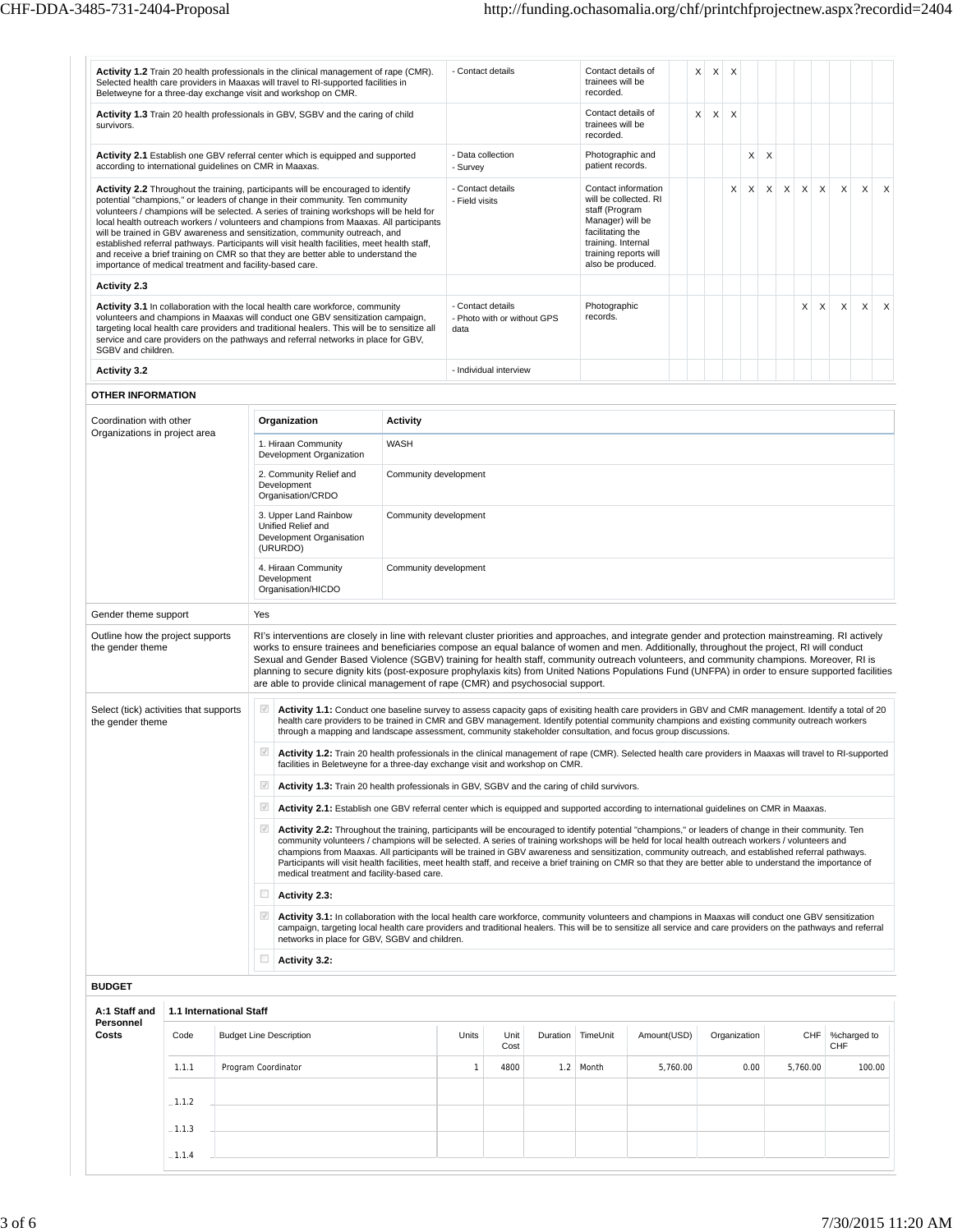| Activity 1.2 Train 20 health professionals in the clinical management of rape (CMR).<br>Selected health care providers in Maaxas will travel to RI-supported facilities in<br>Beletweyne for a three-day exchange visit and workshop on CMR.                                                                                                                                                                                                                                                                                                                                                                                                                                              |                                                                                                  |  |                          |                                                             |                                                     |                                                                                                                                                                                                                                                                                                                                                                                                                                                                                                                                                                                                                                                                                                 |                | - Contact details                                |          | Contact details of<br>trainees will be<br>recorded.                                                                                                 |                     |          | X<br>$\boldsymbol{\mathsf{X}}$ | X            |      |                           |   |             |   |     |                   |
|-------------------------------------------------------------------------------------------------------------------------------------------------------------------------------------------------------------------------------------------------------------------------------------------------------------------------------------------------------------------------------------------------------------------------------------------------------------------------------------------------------------------------------------------------------------------------------------------------------------------------------------------------------------------------------------------|--------------------------------------------------------------------------------------------------|--|--------------------------|-------------------------------------------------------------|-----------------------------------------------------|-------------------------------------------------------------------------------------------------------------------------------------------------------------------------------------------------------------------------------------------------------------------------------------------------------------------------------------------------------------------------------------------------------------------------------------------------------------------------------------------------------------------------------------------------------------------------------------------------------------------------------------------------------------------------------------------------|----------------|--------------------------------------------------|----------|-----------------------------------------------------------------------------------------------------------------------------------------------------|---------------------|----------|--------------------------------|--------------|------|---------------------------|---|-------------|---|-----|-------------------|
| Activity 1.3 Train 20 health professionals in GBV, SGBV and the caring of child<br>survivors.                                                                                                                                                                                                                                                                                                                                                                                                                                                                                                                                                                                             |                                                                                                  |  |                          |                                                             | Contact details of<br>trainees will be<br>recorded. |                                                                                                                                                                                                                                                                                                                                                                                                                                                                                                                                                                                                                                                                                                 |                |                                                  |          |                                                                                                                                                     |                     |          |                                |              |      |                           |   |             |   |     |                   |
| Activity 2.1 Establish one GBV referral center which is equipped and supported<br>according to international guidelines on CMR in Maaxas.                                                                                                                                                                                                                                                                                                                                                                                                                                                                                                                                                 |                                                                                                  |  |                          |                                                             |                                                     |                                                                                                                                                                                                                                                                                                                                                                                                                                                                                                                                                                                                                                                                                                 | - Survey       | - Data collection                                |          | Photographic and<br>patient records.                                                                                                                |                     |          |                                |              | X    | $\times$                  |   |             |   |     |                   |
| Activity 2.2 Throughout the training, participants will be encouraged to identify<br>potential "champions," or leaders of change in their community. Ten community<br>volunteers / champions will be selected. A series of training workshops will be held for<br>local health outreach workers / volunteers and champions from Maaxas. All participants<br>will be trained in GBV awareness and sensitization, community outreach, and<br>established referral pathways. Participants will visit health facilities, meet health staff,<br>and receive a brief training on CMR so that they are better able to understand the<br>importance of medical treatment and facility-based care. |                                                                                                  |  |                          |                                                             |                                                     |                                                                                                                                                                                                                                                                                                                                                                                                                                                                                                                                                                                                                                                                                                 | - Field visits | - Contact details                                |          | will be collected. RI<br>staff (Program<br>Manager) will be<br>facilitating the<br>training. Internal<br>training reports will<br>also be produced. | Contact information |          |                                | X            | X    | $\boldsymbol{\mathsf{X}}$ | X | $\mathsf X$ | X | X   | X<br>X            |
| <b>Activity 2.3</b>                                                                                                                                                                                                                                                                                                                                                                                                                                                                                                                                                                                                                                                                       |                                                                                                  |  |                          |                                                             |                                                     |                                                                                                                                                                                                                                                                                                                                                                                                                                                                                                                                                                                                                                                                                                 |                |                                                  |          |                                                                                                                                                     |                     |          |                                |              |      |                           |   |             |   |     |                   |
| Activity 3.1 In collaboration with the local health care workforce, community<br>volunteers and champions in Maaxas will conduct one GBV sensitization campaign,<br>targeting local health care providers and traditional healers. This will be to sensitize all<br>service and care providers on the pathways and referral networks in place for GBV,<br>SGBV and children.                                                                                                                                                                                                                                                                                                              |                                                                                                  |  |                          |                                                             |                                                     |                                                                                                                                                                                                                                                                                                                                                                                                                                                                                                                                                                                                                                                                                                 | data           | - Contact details<br>- Photo with or without GPS |          | Photographic<br>records.                                                                                                                            |                     |          |                                |              |      |                           |   | X           | Х | X   | X<br>X            |
| <b>Activity 3.2</b>                                                                                                                                                                                                                                                                                                                                                                                                                                                                                                                                                                                                                                                                       |                                                                                                  |  |                          |                                                             |                                                     |                                                                                                                                                                                                                                                                                                                                                                                                                                                                                                                                                                                                                                                                                                 |                | - Individual interview                           |          |                                                                                                                                                     |                     |          |                                |              |      |                           |   |             |   |     |                   |
| <b>OTHER INFORMATION</b>                                                                                                                                                                                                                                                                                                                                                                                                                                                                                                                                                                                                                                                                  |                                                                                                  |  |                          |                                                             |                                                     |                                                                                                                                                                                                                                                                                                                                                                                                                                                                                                                                                                                                                                                                                                 |                |                                                  |          |                                                                                                                                                     |                     |          |                                |              |      |                           |   |             |   |     |                   |
| Coordination with other<br>Organizations in project area                                                                                                                                                                                                                                                                                                                                                                                                                                                                                                                                                                                                                                  |                                                                                                  |  |                          | Organization                                                |                                                     | <b>Activity</b>                                                                                                                                                                                                                                                                                                                                                                                                                                                                                                                                                                                                                                                                                 |                |                                                  |          |                                                                                                                                                     |                     |          |                                |              |      |                           |   |             |   |     |                   |
|                                                                                                                                                                                                                                                                                                                                                                                                                                                                                                                                                                                                                                                                                           |                                                                                                  |  |                          | 1. Hiraan Community<br>Development Organization             |                                                     | WASH                                                                                                                                                                                                                                                                                                                                                                                                                                                                                                                                                                                                                                                                                            |                |                                                  |          |                                                                                                                                                     |                     |          |                                |              |      |                           |   |             |   |     |                   |
|                                                                                                                                                                                                                                                                                                                                                                                                                                                                                                                                                                                                                                                                                           |                                                                                                  |  |                          | 2. Community Relief and<br>Development<br>Organisation/CRDO |                                                     | Community development                                                                                                                                                                                                                                                                                                                                                                                                                                                                                                                                                                                                                                                                           |                |                                                  |          |                                                                                                                                                     |                     |          |                                |              |      |                           |   |             |   |     |                   |
|                                                                                                                                                                                                                                                                                                                                                                                                                                                                                                                                                                                                                                                                                           | 3. Upper Land Rainbow<br>Community development<br>Unified Relief and<br>Development Organisation |  |                          |                                                             |                                                     |                                                                                                                                                                                                                                                                                                                                                                                                                                                                                                                                                                                                                                                                                                 |                |                                                  |          |                                                                                                                                                     |                     |          |                                |              |      |                           |   |             |   |     |                   |
| (URURDO)<br>4. Hiraan Community<br>Community development<br>Development<br>Organisation/HICDO                                                                                                                                                                                                                                                                                                                                                                                                                                                                                                                                                                                             |                                                                                                  |  |                          |                                                             |                                                     |                                                                                                                                                                                                                                                                                                                                                                                                                                                                                                                                                                                                                                                                                                 |                |                                                  |          |                                                                                                                                                     |                     |          |                                |              |      |                           |   |             |   |     |                   |
| Gender theme support                                                                                                                                                                                                                                                                                                                                                                                                                                                                                                                                                                                                                                                                      |                                                                                                  |  | Yes                      |                                                             |                                                     |                                                                                                                                                                                                                                                                                                                                                                                                                                                                                                                                                                                                                                                                                                 |                |                                                  |          |                                                                                                                                                     |                     |          |                                |              |      |                           |   |             |   |     |                   |
| Outline how the project supports<br>the gender theme                                                                                                                                                                                                                                                                                                                                                                                                                                                                                                                                                                                                                                      |                                                                                                  |  |                          |                                                             |                                                     | RI's interventions are closely in line with relevant cluster priorities and approaches, and integrate gender and protection mainstreaming. RI actively<br>works to ensure trainees and beneficiaries compose an equal balance of women and men. Additionally, throughout the project, RI will conduct<br>Sexual and Gender Based Violence (SGBV) training for health staff, community outreach volunteers, and community champions. Moreover, RI is<br>planning to secure dignity kits (post-exposure prophylaxis kits) from United Nations Populations Fund (UNFPA) in order to ensure supported facilities<br>are able to provide clinical management of rape (CMR) and psychosocial support. |                |                                                  |          |                                                                                                                                                     |                     |          |                                |              |      |                           |   |             |   |     |                   |
| Select (tick) activities that supports<br>the gender theme                                                                                                                                                                                                                                                                                                                                                                                                                                                                                                                                                                                                                                |                                                                                                  |  | $\checkmark$             |                                                             |                                                     | Activity 1.1: Conduct one baseline survey to assess capacity gaps of exisiting health care providers in GBV and CMR management. Identify a total of 20<br>health care providers to be trained in CMR and GBV management. Identify potential community champions and existing community outreach workers<br>through a mapping and landscape assessment, community stakeholder consultation, and focus group discussions.                                                                                                                                                                                                                                                                         |                |                                                  |          |                                                                                                                                                     |                     |          |                                |              |      |                           |   |             |   |     |                   |
|                                                                                                                                                                                                                                                                                                                                                                                                                                                                                                                                                                                                                                                                                           |                                                                                                  |  | $\sqrt{ }$               |                                                             |                                                     | Activity 1.2: Train 20 health professionals in the clinical management of rape (CMR). Selected health care providers in Maaxas will travel to RI-supported<br>facilities in Beletweyne for a three-day exchange visit and workshop on CMR.                                                                                                                                                                                                                                                                                                                                                                                                                                                      |                |                                                  |          |                                                                                                                                                     |                     |          |                                |              |      |                           |   |             |   |     |                   |
|                                                                                                                                                                                                                                                                                                                                                                                                                                                                                                                                                                                                                                                                                           |                                                                                                  |  | $\sqrt{ }$               |                                                             |                                                     | Activity 1.3: Train 20 health professionals in GBV, SGBV and the caring of child survivors.                                                                                                                                                                                                                                                                                                                                                                                                                                                                                                                                                                                                     |                |                                                  |          |                                                                                                                                                     |                     |          |                                |              |      |                           |   |             |   |     |                   |
|                                                                                                                                                                                                                                                                                                                                                                                                                                                                                                                                                                                                                                                                                           |                                                                                                  |  | $\sqrt{}$                |                                                             |                                                     | Activity 2.1: Establish one GBV referral center which is equipped and supported according to international guidelines on CMR in Maaxas.                                                                                                                                                                                                                                                                                                                                                                                                                                                                                                                                                         |                |                                                  |          |                                                                                                                                                     |                     |          |                                |              |      |                           |   |             |   |     |                   |
|                                                                                                                                                                                                                                                                                                                                                                                                                                                                                                                                                                                                                                                                                           |                                                                                                  |  | $\checkmark$             |                                                             |                                                     | Activity 2.2: Throughout the training, participants will be encouraged to identify potential "champions," or leaders of change in their community. Ten<br>community volunteers / champions will be selected. A series of training workshops will be held for local health outreach workers / volunteers and<br>champions from Maaxas. All participants will be trained in GBV awareness and sensitization, community outreach, and established referral pathways.<br>Participants will visit health facilities, meet health staff, and receive a brief training on CMR so that they are better able to understand the importance of<br>medical treatment and facility-based care.               |                |                                                  |          |                                                                                                                                                     |                     |          |                                |              |      |                           |   |             |   |     |                   |
|                                                                                                                                                                                                                                                                                                                                                                                                                                                                                                                                                                                                                                                                                           |                                                                                                  |  | o                        | Activity 2.3:                                               |                                                     |                                                                                                                                                                                                                                                                                                                                                                                                                                                                                                                                                                                                                                                                                                 |                |                                                  |          |                                                                                                                                                     |                     |          |                                |              |      |                           |   |             |   |     |                   |
|                                                                                                                                                                                                                                                                                                                                                                                                                                                                                                                                                                                                                                                                                           |                                                                                                  |  | $\overline{\mathcal{A}}$ |                                                             |                                                     | Activity 3.1: In collaboration with the local health care workforce, community volunteers and champions in Maaxas will conduct one GBV sensitization<br>campaign, targeting local health care providers and traditional healers. This will be to sensitize all service and care providers on the pathways and referral<br>networks in place for GBV, SGBV and children.                                                                                                                                                                                                                                                                                                                         |                |                                                  |          |                                                                                                                                                     |                     |          |                                |              |      |                           |   |             |   |     |                   |
|                                                                                                                                                                                                                                                                                                                                                                                                                                                                                                                                                                                                                                                                                           |                                                                                                  |  | □                        | Activity 3.2:                                               |                                                     |                                                                                                                                                                                                                                                                                                                                                                                                                                                                                                                                                                                                                                                                                                 |                |                                                  |          |                                                                                                                                                     |                     |          |                                |              |      |                           |   |             |   |     |                   |
| <b>BUDGET</b>                                                                                                                                                                                                                                                                                                                                                                                                                                                                                                                                                                                                                                                                             |                                                                                                  |  |                          |                                                             |                                                     |                                                                                                                                                                                                                                                                                                                                                                                                                                                                                                                                                                                                                                                                                                 |                |                                                  |          |                                                                                                                                                     |                     |          |                                |              |      |                           |   |             |   |     |                   |
| A:1 Staff and<br>Personnel                                                                                                                                                                                                                                                                                                                                                                                                                                                                                                                                                                                                                                                                | 1.1 International Staff                                                                          |  |                          |                                                             |                                                     |                                                                                                                                                                                                                                                                                                                                                                                                                                                                                                                                                                                                                                                                                                 |                |                                                  |          |                                                                                                                                                     |                     |          |                                |              |      |                           |   |             |   |     |                   |
| Costs                                                                                                                                                                                                                                                                                                                                                                                                                                                                                                                                                                                                                                                                                     | Code                                                                                             |  |                          | <b>Budget Line Description</b>                              |                                                     |                                                                                                                                                                                                                                                                                                                                                                                                                                                                                                                                                                                                                                                                                                 | Units          | Unit<br>Cost                                     | Duration | TimeUnit                                                                                                                                            | Amount(USD)         |          |                                | Organization |      |                           |   |             |   | CHF | CHF   %charged to |
|                                                                                                                                                                                                                                                                                                                                                                                                                                                                                                                                                                                                                                                                                           | 1.1.1                                                                                            |  |                          | Program Coordinator                                         |                                                     |                                                                                                                                                                                                                                                                                                                                                                                                                                                                                                                                                                                                                                                                                                 | 1              | 4800                                             | 1.2      | Month                                                                                                                                               |                     | 5,760.00 |                                |              | 0.00 |                           |   | 5,760.00    |   |     | 100.00            |
|                                                                                                                                                                                                                                                                                                                                                                                                                                                                                                                                                                                                                                                                                           | $-1.1.2$                                                                                         |  |                          |                                                             |                                                     |                                                                                                                                                                                                                                                                                                                                                                                                                                                                                                                                                                                                                                                                                                 |                |                                                  |          |                                                                                                                                                     |                     |          |                                |              |      |                           |   |             |   |     |                   |
|                                                                                                                                                                                                                                                                                                                                                                                                                                                                                                                                                                                                                                                                                           | $-1.1.3$                                                                                         |  |                          |                                                             |                                                     |                                                                                                                                                                                                                                                                                                                                                                                                                                                                                                                                                                                                                                                                                                 |                |                                                  |          |                                                                                                                                                     |                     |          |                                |              |      |                           |   |             |   |     |                   |
|                                                                                                                                                                                                                                                                                                                                                                                                                                                                                                                                                                                                                                                                                           | $-1.1.4$                                                                                         |  |                          |                                                             |                                                     |                                                                                                                                                                                                                                                                                                                                                                                                                                                                                                                                                                                                                                                                                                 |                |                                                  |          |                                                                                                                                                     |                     |          |                                |              |      |                           |   |             |   |     |                   |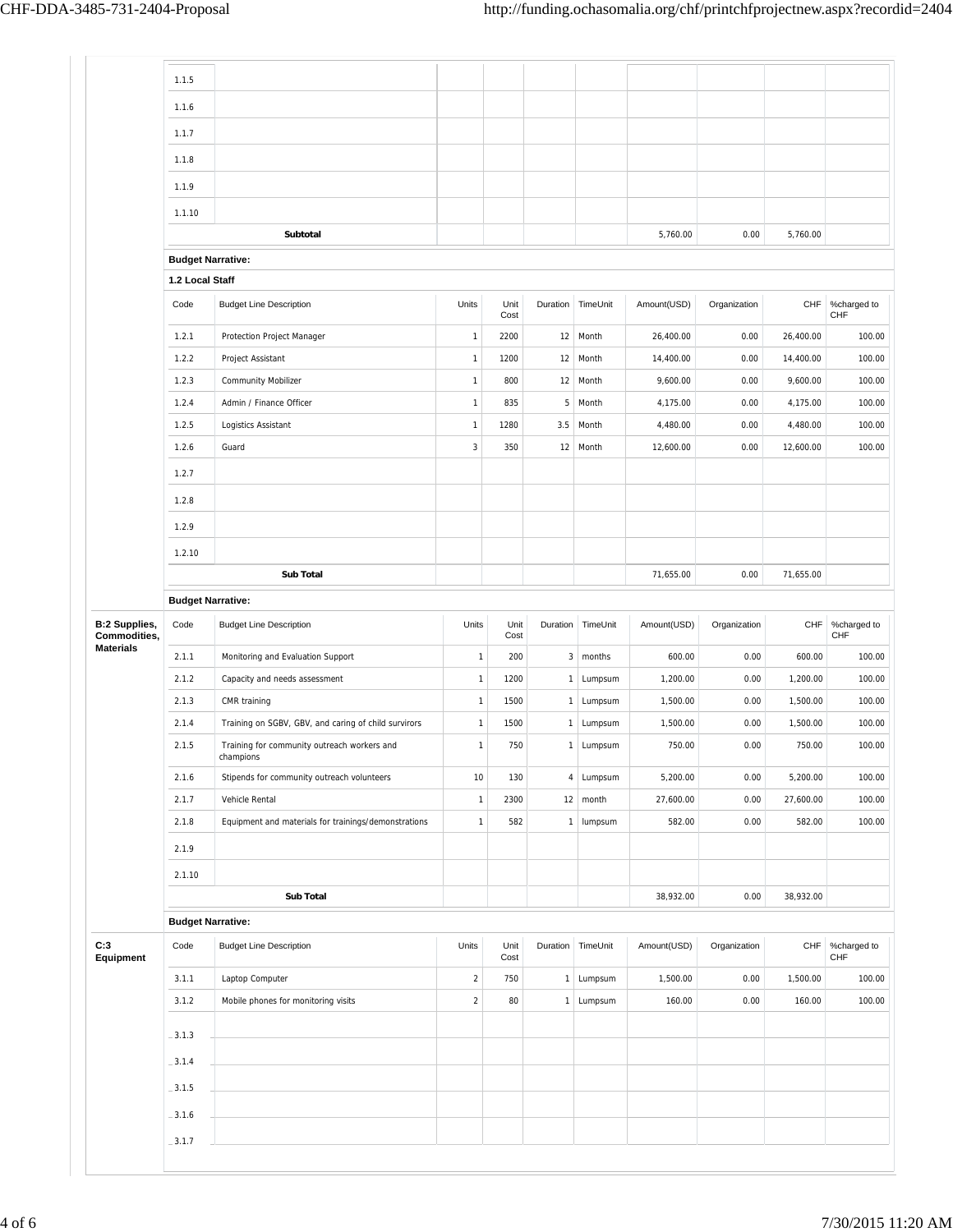|                                                                              | 1.1.5                                       |                                                          |              |              |                |                        |             |              |           |                    |
|------------------------------------------------------------------------------|---------------------------------------------|----------------------------------------------------------|--------------|--------------|----------------|------------------------|-------------|--------------|-----------|--------------------|
|                                                                              | 1.1.6                                       |                                                          |              |              |                |                        |             |              |           |                    |
|                                                                              | 1.1.7                                       |                                                          |              |              |                |                        |             |              |           |                    |
|                                                                              | 1.1.8                                       |                                                          |              |              |                |                        |             |              |           |                    |
|                                                                              |                                             |                                                          |              |              |                |                        |             |              |           |                    |
|                                                                              | 1.1.9                                       |                                                          |              |              |                |                        |             |              |           |                    |
|                                                                              | 1.1.10                                      |                                                          |              |              |                |                        |             |              | 5,760.00  |                    |
|                                                                              |                                             | Subtotal                                                 |              |              |                |                        | 5,760.00    | 0.00         |           |                    |
|                                                                              | <b>Budget Narrative:</b><br>1.2 Local Staff |                                                          |              |              |                |                        |             |              |           |                    |
|                                                                              | Code                                        | <b>Budget Line Description</b>                           | Units        | Unit<br>Cost |                | Duration TimeUnit      | Amount(USD) | Organization | CHF       | %charged to<br>CHF |
|                                                                              | 1.2.1                                       | Protection Project Manager                               | $\mathbf{1}$ | 2200         | 12             | Month                  | 26,400.00   | 0.00         | 26,400.00 | 100.00             |
|                                                                              | 1.2.2                                       | Project Assistant                                        | $\mathbf{1}$ | 1200         | 12             | Month                  | 14,400.00   | 0.00         | 14,400.00 | 100.00             |
|                                                                              | 1.2.3                                       | <b>Community Mobilizer</b>                               | $\mathbf{1}$ | 800          | 12             | Month                  | 9,600.00    | 0.00         | 9,600.00  | 100.00             |
|                                                                              | 1.2.4                                       | Admin / Finance Officer                                  | $\mathbf{1}$ | 835          | 5              | Month                  | 4,175.00    | 0.00         | 4,175.00  | 100.00             |
|                                                                              | 1.2.5                                       | Logistics Assistant                                      | $\mathbf{1}$ | 1280         | 3.5            | Month                  | 4,480.00    | 0.00         | 4,480.00  | 100.00             |
|                                                                              | 1.2.6                                       | Guard                                                    | $\sqrt{3}$   | 350          | 12             | Month                  | 12,600.00   | 0.00         | 12,600.00 | 100.00             |
|                                                                              | 1.2.7                                       |                                                          |              |              |                |                        |             |              |           |                    |
|                                                                              | 1.2.8                                       |                                                          |              |              |                |                        |             |              |           |                    |
|                                                                              | 1.2.9                                       |                                                          |              |              |                |                        |             |              |           |                    |
|                                                                              | 1.2.10                                      |                                                          |              |              |                |                        |             |              |           |                    |
|                                                                              |                                             | <b>Sub Total</b>                                         |              |              |                |                        | 71,655.00   | 0.00         | 71,655.00 |                    |
|                                                                              | <b>Budget Narrative:</b>                    |                                                          |              |              |                |                        |             |              |           |                    |
|                                                                              | Code                                        | <b>Budget Line Description</b>                           | Units        | Unit<br>Cost | Duration       | TimeUnit               | Amount(USD) | Organization | CHF       | %charged to<br>CHF |
|                                                                              | 2.1.1                                       | Monitoring and Evaluation Support                        | $\mathbf{1}$ | 200          | 3 <sup>1</sup> | months                 | 600.00      | 0.00         | 600.00    | 100.00             |
|                                                                              | 2.1.2                                       | Capacity and needs assessment                            | $\mathbf{1}$ | 1200         | $\mathbf{1}$   | Lumpsum                | 1,200.00    | 0.00         | 1,200.00  | 100.00             |
|                                                                              | 2.1.3                                       | CMR training                                             | $\mathbf{1}$ | 1500         | 1              | Lumpsum                | 1,500.00    | 0.00         | 1,500.00  | 100.00             |
|                                                                              | 2.1.4                                       | Training on SGBV, GBV, and caring of child survirors     | $\mathbf{1}$ | 1500         | $\mathbf{1}$   | Lumpsum                | 1,500.00    | 0.00         | 1,500.00  | 100.00             |
|                                                                              | 2.1.5                                       | Training for community outreach workers and<br>cnampions | $\mathbf{1}$ | 750          | $\mathbf{1}$   | Lumpsum                | 750.00      | 0.00         | 750.00    | 100.00             |
|                                                                              | 2.1.6                                       | Stipends for community outreach volunteers               | $10$         | 130          |                | 4 Lumpsum              | 5,200.00    | 0.00         | 5,200.00  | 100.00             |
|                                                                              | 2.1.7                                       | Vehicle Rental                                           | $\mathbf{1}$ | 2300         |                | $12 \mid \text{month}$ | 27,600.00   | 0.00         | 27,600.00 | 100.00             |
|                                                                              | 2.1.8                                       | Equipment and materials for trainings/demonstrations     | $\mathbf{1}$ | 582          | 1              | lumpsum                | 582.00      | 0.00         | 582.00    | 100.00             |
|                                                                              | 2.1.9                                       |                                                          |              |              |                |                        |             |              |           |                    |
|                                                                              | 2.1.10                                      |                                                          |              |              |                |                        |             |              |           |                    |
|                                                                              |                                             | Sub Total                                                |              |              |                |                        | 38,932.00   | 0.00         | 38,932.00 |                    |
| <b>B:2 Supplies,</b><br>Commodities,<br><b>Materials</b><br>C:3<br>Equipment | <b>Budget Narrative:</b>                    |                                                          |              |              |                |                        |             |              |           |                    |
|                                                                              | Code                                        | <b>Budget Line Description</b>                           | Units        | Unit<br>Cost |                | Duration TimeUnit      | Amount(USD) | Organization | CHF       | %charged to<br>CHF |
|                                                                              | 3.1.1                                       | Laptop Computer                                          | $\sqrt{2}$   | 750          |                | 1 Lumpsum              | 1,500.00    | 0.00         | 1,500.00  | 100.00             |
|                                                                              | 3.1.2                                       | Mobile phones for monitoring visits                      | $\sqrt{2}$   | 80           |                | 1 Lumpsum              | 160.00      | 0.00         | 160.00    | 100.00             |
|                                                                              | $-3.1.3$                                    |                                                          |              |              |                |                        |             |              |           |                    |
|                                                                              | $-3.1.4$                                    |                                                          |              |              |                |                        |             |              |           |                    |
|                                                                              | $-3.1.5$                                    |                                                          |              |              |                |                        |             |              |           |                    |
|                                                                              | $-3.1.6$                                    |                                                          |              |              |                |                        |             |              |           |                    |
|                                                                              |                                             |                                                          |              |              |                |                        |             |              |           |                    |
|                                                                              | $-3.1.7$                                    |                                                          |              |              |                |                        |             |              |           |                    |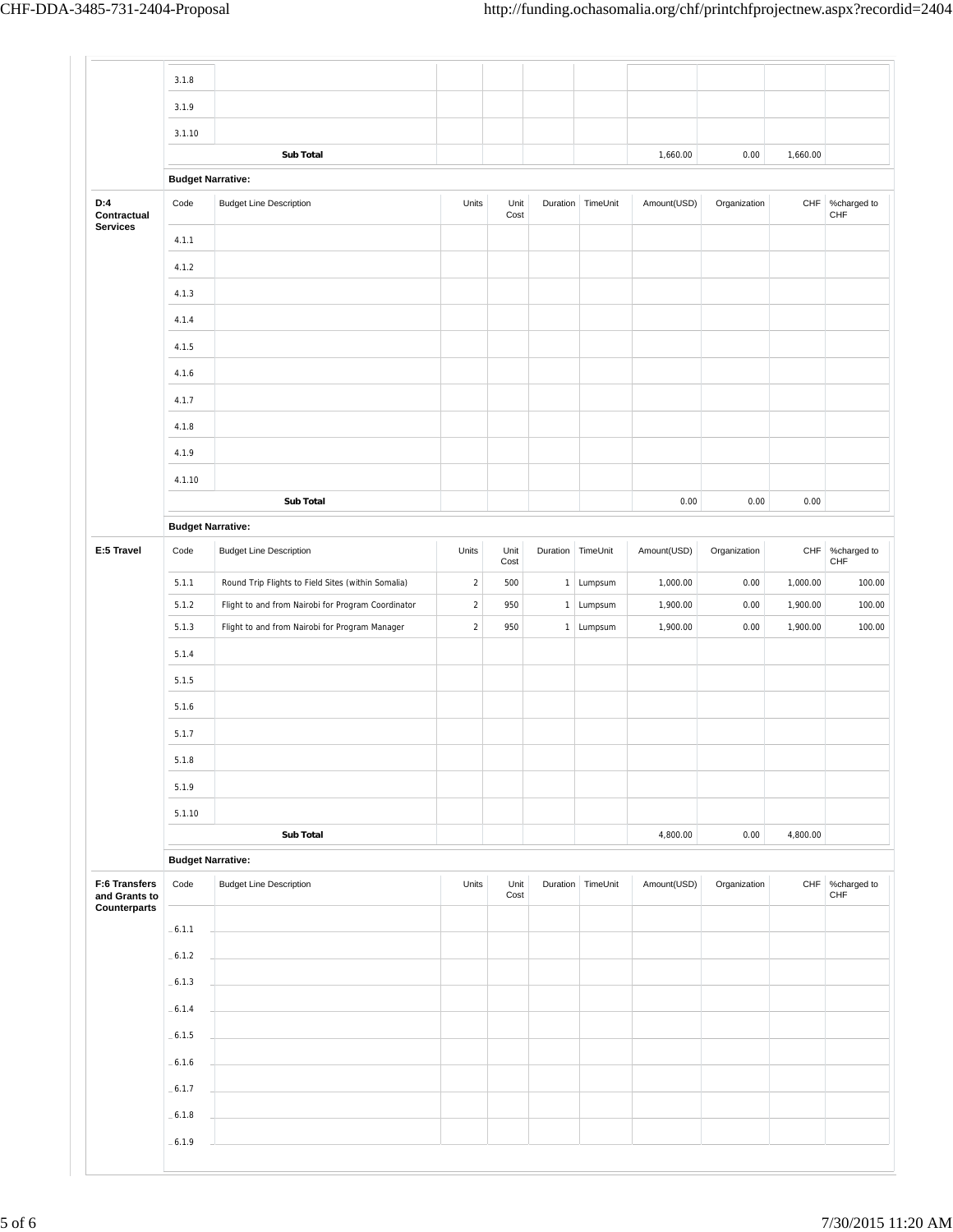|                                       | 3.1.8                            |                                                                                                      |                          |              |                   |                        |                      |              |                      |                        |
|---------------------------------------|----------------------------------|------------------------------------------------------------------------------------------------------|--------------------------|--------------|-------------------|------------------------|----------------------|--------------|----------------------|------------------------|
|                                       | 3.1.9                            |                                                                                                      |                          |              |                   |                        |                      |              |                      |                        |
|                                       | 3.1.10                           |                                                                                                      |                          |              |                   |                        |                      |              |                      |                        |
|                                       |                                  | Sub Total                                                                                            |                          |              |                   |                        | 1,660.00             | 0.00         | 1,660.00             |                        |
|                                       | <b>Budget Narrative:</b>         |                                                                                                      |                          |              |                   |                        |                      |              |                      |                        |
| D:4<br>Contractual<br><b>Services</b> | Code                             | <b>Budget Line Description</b>                                                                       | Units                    | Unit<br>Cost |                   | Duration TimeUnit      | Amount(USD)          | Organization |                      | CHF %charged to<br>CHF |
|                                       | 4.1.1                            |                                                                                                      |                          |              |                   |                        |                      |              |                      |                        |
|                                       | 4.1.2                            |                                                                                                      |                          |              |                   |                        |                      |              |                      |                        |
|                                       | 4.1.3                            |                                                                                                      |                          |              |                   |                        |                      |              |                      |                        |
|                                       | 4.1.4                            |                                                                                                      |                          |              |                   |                        |                      |              |                      |                        |
|                                       | 4.1.5                            |                                                                                                      |                          |              |                   |                        |                      |              |                      |                        |
|                                       | 4.1.6                            |                                                                                                      |                          |              |                   |                        |                      |              |                      |                        |
|                                       | 4.1.7                            |                                                                                                      |                          |              |                   |                        |                      |              |                      |                        |
|                                       | 4.1.8                            |                                                                                                      |                          |              |                   |                        |                      |              |                      |                        |
|                                       | 4.1.9                            |                                                                                                      |                          |              |                   |                        |                      |              |                      |                        |
|                                       | 4.1.10                           |                                                                                                      |                          |              |                   |                        |                      |              |                      |                        |
|                                       |                                  | <b>Sub Total</b>                                                                                     |                          |              |                   |                        | 0.00                 | 0.00         | 0.00                 |                        |
|                                       | <b>Budget Narrative:</b>         |                                                                                                      |                          |              |                   |                        |                      |              |                      |                        |
| E:5 Travel                            | Code                             | <b>Budget Line Description</b>                                                                       | Units                    | Unit         | Duration TimeUnit |                        | Amount(USD)          | Organization | CHF                  |                        |
|                                       |                                  |                                                                                                      |                          | Cost         |                   |                        |                      |              |                      | %charged to<br>CHF     |
|                                       | 5.1.1<br>5.1.2                   | Round Trip Flights to Field Sites (within Somalia)                                                   | $\sqrt{2}$<br>$\sqrt{2}$ | 500<br>950   |                   | 1 Lumpsum<br>1 Lumpsum | 1,000.00<br>1,900.00 | 0.00<br>0.00 | 1,000.00<br>1,900.00 | 100.00<br>100.00       |
|                                       | 5.1.3                            | Flight to and from Nairobi for Program Coordinator<br>Flight to and from Nairobi for Program Manager | $\sqrt{2}$               | 950          |                   | 1 Lumpsum              | 1,900.00             | 0.00         | 1,900.00             | 100.00                 |
|                                       | 5.1.4                            |                                                                                                      |                          |              |                   |                        |                      |              |                      |                        |
|                                       | 5.1.5                            |                                                                                                      |                          |              |                   |                        |                      |              |                      |                        |
|                                       |                                  |                                                                                                      |                          |              |                   |                        |                      |              |                      |                        |
|                                       | 5.1.6                            |                                                                                                      |                          |              |                   |                        |                      |              |                      |                        |
|                                       | 5.1.7                            |                                                                                                      |                          |              |                   |                        |                      |              |                      |                        |
|                                       | 5.1.8                            |                                                                                                      |                          |              |                   |                        |                      |              |                      |                        |
|                                       | 5.1.9                            |                                                                                                      |                          |              |                   |                        |                      |              |                      |                        |
|                                       | 5.1.10                           |                                                                                                      |                          |              |                   |                        |                      |              |                      |                        |
|                                       |                                  | Sub Total                                                                                            |                          |              |                   |                        | 4,800.00             | 0.00         | 4,800.00             |                        |
| F:6 Transfers<br>and Grants to        | <b>Budget Narrative:</b><br>Code | <b>Budget Line Description</b>                                                                       | Units                    | Unit<br>Cost |                   | Duration TimeUnit      | Amount(USD)          | Organization | CHF                  | %charged to<br>CHF     |
| Counterparts                          |                                  |                                                                                                      |                          |              |                   |                        |                      |              |                      |                        |
|                                       | $-6.1.1$                         |                                                                                                      |                          |              |                   |                        |                      |              |                      |                        |
|                                       | $-6.1.2$                         |                                                                                                      |                          |              |                   |                        |                      |              |                      |                        |
|                                       | $-6.1.3$                         |                                                                                                      |                          |              |                   |                        |                      |              |                      |                        |
|                                       | $-6.1.4$                         |                                                                                                      |                          |              |                   |                        |                      |              |                      |                        |
|                                       | $-6.1.5$                         |                                                                                                      |                          |              |                   |                        |                      |              |                      |                        |
|                                       | $-6.1.6$                         |                                                                                                      |                          |              |                   |                        |                      |              |                      |                        |
|                                       |                                  |                                                                                                      |                          |              |                   |                        |                      |              |                      |                        |
|                                       | $-6.1.7$                         |                                                                                                      |                          |              |                   |                        |                      |              |                      |                        |
|                                       | $-6.1.8$                         |                                                                                                      |                          |              |                   |                        |                      |              |                      |                        |